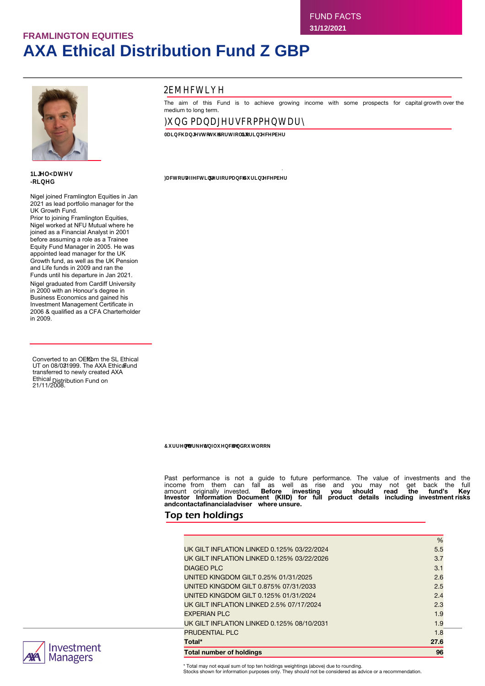# **FRAMLINGTON EQUITIES AXA Ethical Distribution Fund Z GBP**



tinAae)A -UtrAy 2021

Nigel joined Framlington Equities in Jan 2021 as lead portfolio manager for the UK Growth Fund.

Prior to joining Framlington Equities, Nigel worked at NFU Mutual where he joined as a Financial Analyst in 2001 before assuming a role as a Trainee Equity Fund Manager in 2005. He was appointed lead manager for the UK Growth fund, as well as the UK Pension and Life funds in 2009 and ran the Funds until his departure in Jan 2021. Nigel graduated from Cardiff University in 2000 with an Honour's degree in Business Economics and gained his Investment Management Certificate in 2006 & qualified as a CFA Charterholder in 2009.

Converted to an OEf@m the SL Ethical UT on 08/031999. The AXA EthicalFund transferred to newly created AXA Ethical Distribution Fund on 21/11/2008.



# **Objective**

Then aimn of this Fund is to achieve growing income with some prospects for capital growth over the medium to long term.

# )ry□ gerenAi(□ bUggAr)ei□

**0tr** bvernA( )U)vArKUi)XUatty.itrn AbAgdAi

In the equity portfolio, we added to our position in Ashtead as the shares pulled back slightly despite their strong results. In the fixed income portfolio we reduced our duration (a measure of the sensitivity of a bond's price to a change of interest rates)<br>exposure in early December as 10-year gilt yields traded near 0.7%, while later in the month we following the sell-off in yields and the underperformance of index-linked bonds. We ended the year with a small overweight duration position relative to the Fund's benchmark.

Factors affecting performance during December

Having started the month with a broad sell-off due to concerns over the Omicron variant of COVID-19, the market gradually came to the conclusion that this strain of the virus was highly transmissible but likely less dangerous, and thus less disruptive to<br>economic growth. A more surprising development came in the middle of the month when the Bank o

The UK equity markets managed the traditional 'Santa rally' through the final month of 2021 and unlike much of the rest of the<br>year where style, size, and currency factors skewed performance, during December the market's a The FTSE All Share Index was up +4.68%, the FTSE 100 Index added +4.75%, and the FTSE 250 ex-investment companies Index was up +4.95%, while the FTSE Small Cap ex-investment companies Index performed strongest of all, up +5.83%. Over the<br>12 months, the FTSE 100 Index gained +18.40%, performing in-line with the FTSE 250 ex-investment c returned +18.35%, while the FTSE Small Cap ex-investment companies Index, outperformed, gaining +31.26%.

In corporate news, December is a relatively quiet reporting month but encouragingly the Fund holdings that did report, provided solid results. The update from Hollywood Bowl highlighted a strong period of trading post COVID-19 re-opening and RWS and GB Group reported numbers solidly in line with expectations. Additionally, Domino's Pizza posted strong returns after it finally settled its profit-sharing dispute with its franchisees.

December proved to be a month of two halves for global bond markets, initially bonds rallied on concerns of rising virus case numbers as the Omicron variant spread, before the tone changed mid-month as central banks appeared increasingly hawkish<br>(monetary policy that promotes raising interest rates). The month started with a weaker-than-forecast data release, although the underlying data remained strong, with the unemployment rate falling to just 4.2%. The US Federal Reserve (Fed) meeting on 15 December proved to be a hawkish pivot by the Fed, announcing a doubling of the pace of tapering of asset purchases to \$30bn per month meaning the programme will end in March 2022. The Fed 'dot plot' signalled three rate hikes in 2022, which was up from just one hike in its September projections. Further hawkish comments from Fed governor<br>Christopher Waller suggested that rate hikes might come as soon as the end of the first quarter, when was a 'live' meeting. In terms of market moves, the 10-year US treasury opened the month at 1.45% and traded as low as 1.33% early in the month before reversing, eventually closing at 1.51%. Short-dated bonds suffered more on the repricing, with two-years<br>15 basis points (bps) higher, with the curve flattening (the yield gap between long and sho BoE surprised markets by raising rates for the first time since 2018 at its December meeting, with the Monetary Policy Committee voting 8-1 to raise rates 15bps to 0.25%. 10-year gilt yields started the month at 0.8% and traded through 0.7% early in the month before reversing after the surprise rate hike, closing the year at 1%. The gilt yield curve steepened (the yield between long and short gilts increases) with longer-dated gilts underperforming. In Europe, the European Central Bank delivered a slightly hawkish<br>surprise, announcing when its emergency asset purchase programme (PEPP) ended in March it wo asset purchase programme (APP) by €40bn which underwhelmed markets, with 10-year bund yields rising 15bps to close the year at -0.15%. Risk assets reversed their negative returns for November; US and UK equity markets posted returns in excess of 4%.

Global inflation-linked bonds generally outperformed nominals, breakevens (the difference in yield between a nominal bond and an inflation-linked bond) widening and reversing November's underperformance. Strong inflation readings as well as the rebound in risk sentiment were supportive of the asset class. Headline US Consumer Price Index (CPI) for November came in at 6.8%, the highest in 40 years, while Europe also saw levels of inflation last seen in the early 1990s. The exception to the widening theme was the UK which saw an underperformance in index-linked bonds late in the month, with breakevens narrowing by 20-30bps largely attributable to the sharp fall in natural gas prices.

The UK's CPI inflation rate rocketed to 5.1% while the Retail Price Index measure of inflation rose to 7.1%.

Current market influences and outlook

The central asset mix of the Fund is 53% UK equities, 26% index-linked gilts, 13% conventional gilts, and 8% cash. Within the equity portfolio, our approach remains to look for opportunities to buy into strong companies, which meet the Fund's ethical criteria, at attractive valuations, particularly in situations where we perceive short term market sentiment to be overly pessimistic.

Past⊡ performance⊡ is⊡ not⊡ a⊟ guide⊟ to⊟ future⊟ performance.⊡ The⊟ value⊟ of⊡ investments⊟ and⊟ the⊟<br>income⊟ from⊟ them⊟ can⊟ fall⊟ as⊡ well⊟ as⊟ rise⊡ and⊟ you⊟ may⊡ not⊟ get⊟ back⊡ the⊟ full⊑<br>amount⊡ originally⊒ inves **andcontactafinancialadviser where unsure.**

## Top ten holdings

| <b>Total number of holdings</b>            | 96   |
|--------------------------------------------|------|
| Total*                                     | 27.6 |
| <b>PRUDENTIAL PLC</b>                      | 1.8  |
| UK GILT INFLATION LINKED 0.125% 08/10/2031 | 1.9  |
| <b>EXPERIAN PLC</b>                        | 1.9  |
| UK GILT INFLATION LINKED 2.5% 07/17/2024   | 2.3  |
| UNITED KINGDOM GILT 0.125% 01/31/2024      | 2.4  |
| UNITED KINGDOM GILT 0.875% 07/31/2033      | 2.5  |
| UNITED KINGDOM GILT 0.25% 01/31/2025       | 2.6  |
| <b>DIAGEO PLC</b>                          | 3.1  |
| UK GILT INFLATION LINKED 0.125% 03/22/2026 | 3.7  |
| UK GILT INFLATION LINKED 0.125% 03/22/2024 | 5.5  |
|                                            | %    |

\* Total may not equal sum of top ten holdings weightings (above) due to rounding.

Stocks shown for information purposes only. They should not be considered as advice or a recommendation.